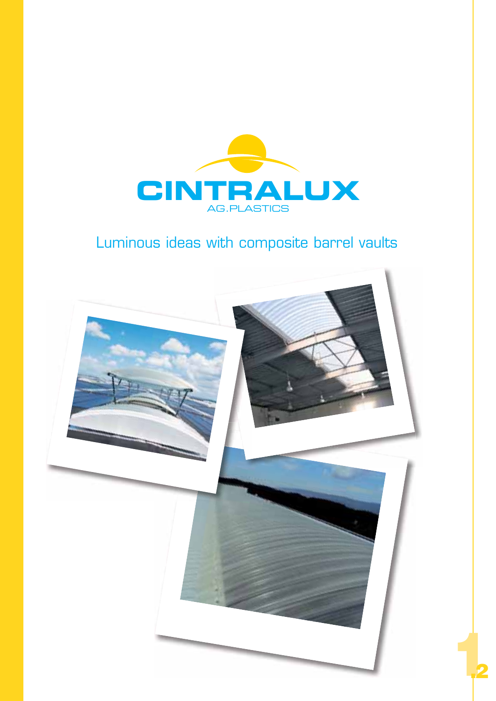

# Luminous ideas with composite barrel vaults



**2**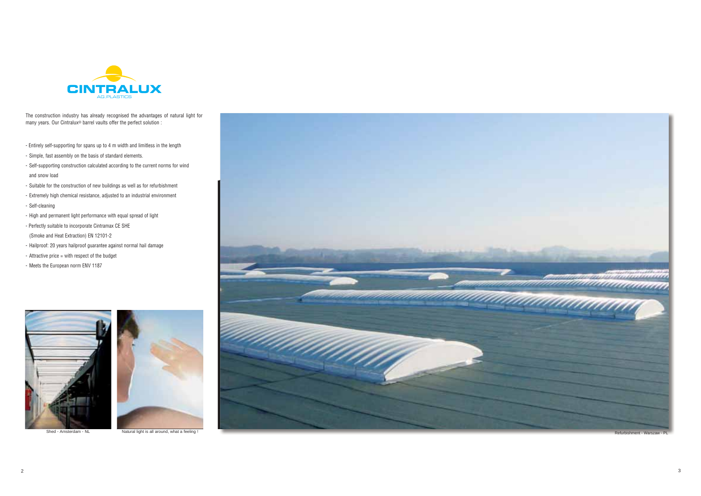

The construction industry has already recognised the advantages of natural light for many years. Our Cintralux® barrel vaults offer the perfect solution :

- Entirely self-supporting for spans up to 4 m width and limitless in the length
- Simple, fast assembly on the basis of standard elements.
- Self-supporting construction calculated according to the current norms for wind and snow load
- Suitable for the construction of new buildings as well as for refurbishment
- Extremely high chemical resistance, adjusted to an industrial environment
- Self-cleaning
- High and permanent light performance with equal spread of light
- Perfectly suitable to incorporate Cintramax CE SHE (Smoke and Heat Extraction) EN 12101-2
- Hailproof: 20 years hailproof guarantee against normal hail damage
- Attractive price = with respect of the budget
- Meets the European norm ENV 1187







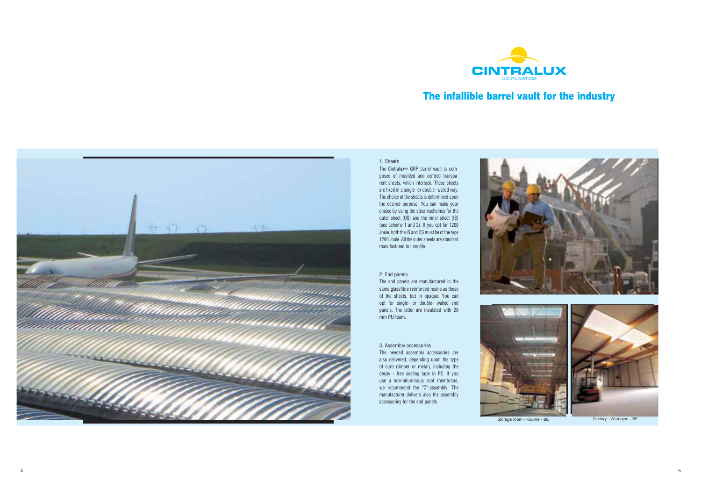



5



# **The infallible barrel vault for the industry**



## 1. Sheets

The Cintralux ® GRP barrel vault is composed of moulded and centred transparent sheets, which interlock. These sheets are fixed in a single- or double- walled way. The choice of the sheets is determined upon the desired purpose. You can make your choice by using the streamschemes for the outer sheet (OS) and the inner sheet (IS) (see scheme 1 and 2). If you opt for 1200 Joule, both the IS and OS must be of the type 1200 Joule. All the outer sheets are standard manufactured in Longlife.

### 2. End panels

The end panels are manufactured in the same glassfibre reinforced resins as these of the sheets, but in opaque. You can opt for single- or double- walled end panels. The latter are insulated with 20 mm PU-foam.

#### 3. Assembly accessories

The needed assembly accessories are also delivered, depending upon the type of curb (timber or metal), including the decay - free sealing tape in PE. If you use a non-bituminous roof membrane, we recommend the "Z"-assembly. The manufacturer delivers also the assembly accessories for the end panels.



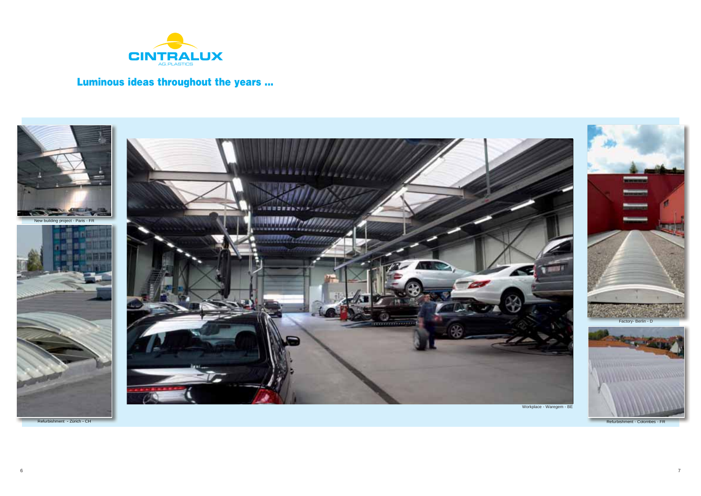

# **Luminous ideas throughout the years ...**







Refurbishment - Zürich - CH Refurbishment - Colombes - FR



Workplace - Waregem - BE

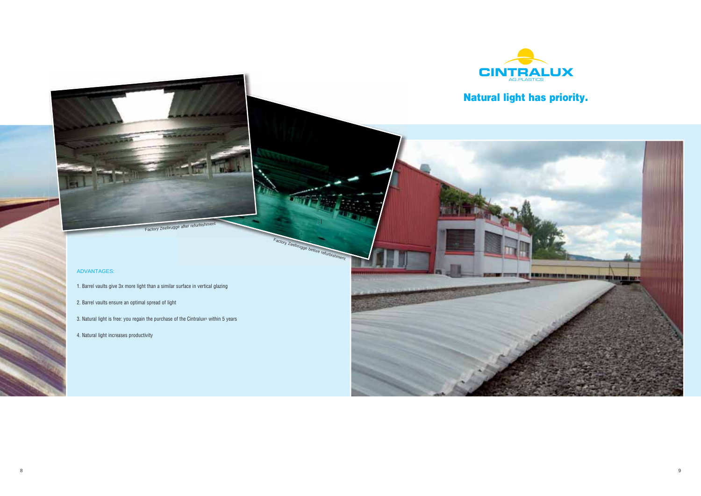

# **Natural light has priority.**



## ADVANTAGES:

1. Barrel vaults give 3x more light than a similar surface in vertical glazing

Factory Zeebrugge before refurbishment

- 2. Barrel vaults ensure an optimal spread of light
- 3. Natural light is free: you regain the purchase of the Cintralux® within 5 years
- 4. Natural light increases productivity

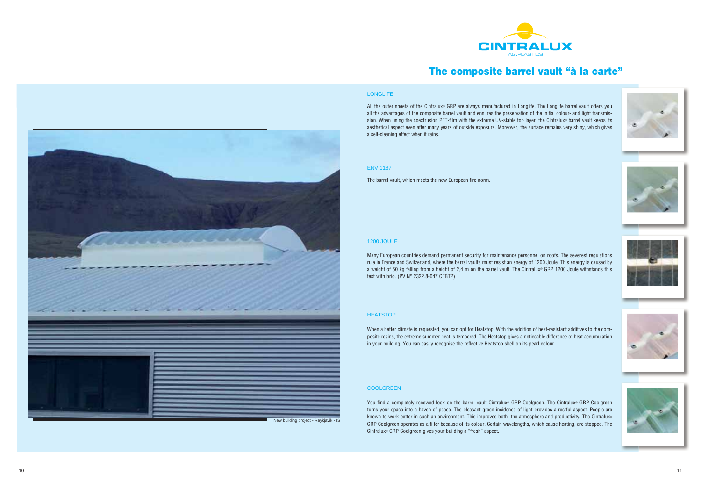

All the outer sheets of the Cintralux® GRP are always manufactured in Longlife. The Longlife barrel vault offers you all the advantages of the composite barrel vault and ensures the preservation of the initial colour- and light transmission. When using the coextrusion PET-film with the extreme UV-stable top layer, the Cintralux® barrel vault keeps its aesthetical aspect even after many years of outside exposure. Moreover, the surface remains very shiny, which gives a self-cleaning effect when it rains.

## ENV 1187

The barrel vault, which meets the new European fire norm.

### 1200 JOULE

Many European countries demand permanent security for maintenance personnel on roofs. The severest regulations rule in France and Switzerland, where the barrel vaults must resist an energy of 1200 Joule. This energy is caused by a weight of 50 kg falling from a height of 2,4 m on the barrel vault. The Cintralux® GRP 1200 Joule withstands this test with brio. (PV N° 2322.8-047 CEBTP)

## **HEATSTOP**

You find a completely renewed look on the barrel vault Cintralux® GRP Coolgreen. The Cintralux® GRP Coolgreen turns your space into a haven of peace. The pleasant green incidence of light provides a restful aspect. People are known to work better in such an environment. This improves both the atmosphere and productivity. The Cintralux® GRP Coolgreen operates as a filter because of its colour. Certain wavelengths, which cause heating, are stopped. The Cintralux® GRP Coolgreen gives your building a "fresh" aspect.













When a better climate is requested, you can opt for Heatstop. With the addition of heat-resistant additives to the composite resins, the extreme summer heat is tempered. The Heatstop gives a noticeable difference of heat accumulation in your building. You can easily recognise the reflective Heatstop shell on its pearl colour.

### COOLGREEN

# **The composite barrel vault "à la carte"**



## **LONGLIFE**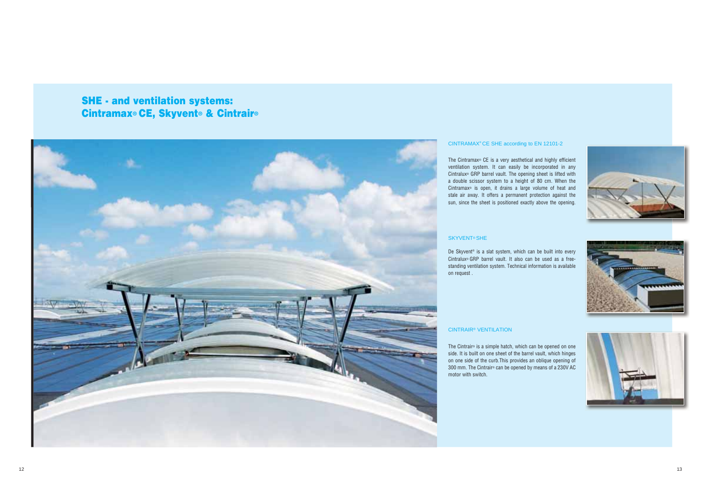**SHE - and ventilation systems: Cintramax® CE, Skyvent® & Cintrair®**



## CINTRAMAX® CE SHE according to EN 12101-2

The Cintramax® CE is a very aesthetical and highly efficient ventilation system. It can easily be incorporated in any Cintralux® GRP barrel vault. The opening sheet is lifted with a double scissor system to a height of 80 cm. When the Cintramax® is open, it drains a large volume of heat and stale air away. It offers a permanent protection against the sun, since the sheet is positioned exactly above the opening.

## SKYVENT® SHE

De Skyvent® is a slat system, which can be built into every Cintralux® GRP barrel vault. It also can be used as a freestanding ventilation system. Technical information is available on request .

## CINTRAIR® VENTILATION

The Cintrair® is a simple hatch, which can be opened on one side. It is built on one sheet of the barrel vault, which hinges on one side of the curb.This provides an oblique opening of 300 mm. The Cintrair® can be opened by means of a 230V AC motor with switch.





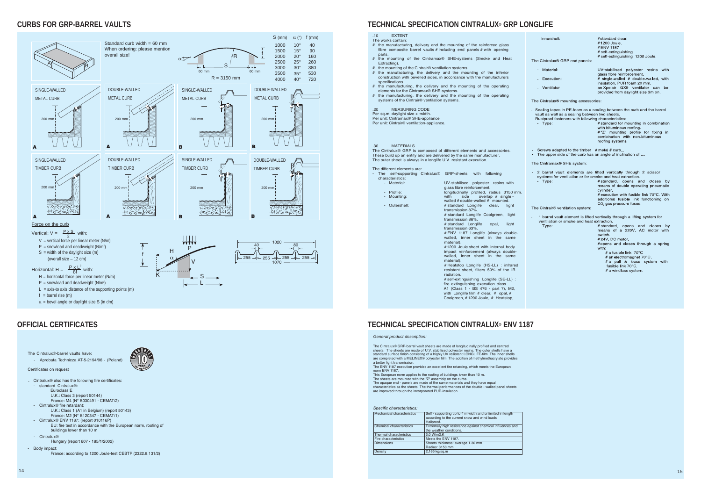## **CURBS FOR GRP-BARREL VAULTS**



## **TECHNICAL SPECIFICATION CINTRALUX ® GRP LONGLIFE**

## **OFFICIAL CERTIFICATES TECHNICAL SPECIFICATION CINTRALUX ® ENV 1187**

- The opaque end panels are made of the same materials and they have equal characteristics as the sheets. The thermal performances of the double - walled panel sheets
- are improved through the incorporated PUR-insulation.

*General product description:*

The Cintralux® GRP-barrel vault sheets are made of longitudinally profiled and centred sheets. The sheets are made of U.V. stabilised polyester resins. The outer shells have a standard surface finish consisting of a highly UV resistant LONGLIFE-film. The inner shells are completed with a MELINEX® polyester film. The addition of methylmethacrylate provides a better light transmission. The ENV 1187 execution provides an excellent fire retarding, which meets the European norm ENV 1187. This European norm applies to the roofing of buildings lower than 10 m. The sheets are mounted with the "Z" assembly on the curbs.

- The different elements are:
- The self-supporting Cintralux® GRP-sheets, with following characteristics<br>: Material
	-
	-
	-

- Profile: longitudinally profiled, radius 3150 mm.<br>- Mounting: with side overlap # single overlap # single walled # double-walled # mounted. - Outershell: # standard Longlife clear, light transmission 87%.

UV-stabilised polyester resins with

#### *Specific characteristics:*

| Mechanical characteristics      | Self - supporting up to 4 m width and unlimited in length<br>according to the current snow and wind loads<br>Hailproof. |
|---------------------------------|-------------------------------------------------------------------------------------------------------------------------|
| <b>Chemical characteristics</b> | Extremely high resistance against chemical influences and<br>the weather conditions.                                    |
| Thermal characteristics         | 3.0 W/m2.K                                                                                                              |
| <b>Fire characteristics</b>     | Meets the ENV 1187.                                                                                                     |
| <b>Dimensions</b>               | Sheets thickness: average 1.30 mm<br>Radius: 3150 mm                                                                    |
| Density                         | 2,165 kg/sg.m                                                                                                           |
|                                 |                                                                                                                         |

#### .10 EXTENT The works contain:

- # the manufacturing, delivery and the mounting of the reinforced glass fibre composite barrel vaults # including end panels # with opening parts.
- # the mounting of the Cintramax® SHE-systems (Smoke and Heat Extracting).
- # the mounting of the Cintrair® ventilation systems.
- # the manufacturing, the delivery and the mounting of the inferior construction with bevelled sides, in accordance with the manufacturers specifications
- # the manufacturing, the delivery and the mounting of the operating elements for the Cintramax® SHE-systems.
- # the manufacturing, the delivery and the mounting of the operating systems of the Cintrair<sup>®</sup> ventilation systems.
- .20 MEASURING CODE
- Per sq.m: daylight size x -width.
- Per unit: Cintramax® SHE-appliance Per unit: Cintrair® ventilation-appliance.
- .30 MATERIALS

The Cintralux® GRP is composed of different elements and accessories. These build up an entity and are delivered by the same manufacturer. The outer sheet is always in a longlife U.V. resistant execution.

glass fibre reinforcement.

# standard Longlife Coolgreen, light transmission 86%. # standard Longlife opal, light

transmission 63%. # ENV 1187 Longlife (always double-

walled, inner sheet in the same material). #1200 Joule sheet with internal body

impact reinforcement (always doublewalled, inner sheet in the same material).

# Heatstop Longlife (HS-LL) : infrared resistant sheet, filters 50% of the IR radiation.

self-extinguishing Longlife (SE-LL) : A1 (Class 1 - BS 476 - part 7), M2, with Longlife film  $#$  clear,  $#$  opal,  $#$ fire extinguishing execution class

Coolgreen, #1200 Joule, # Heatstop,

- standard Cintralux®:

Cintralux® also has the following fire certificates: -

Certificates on request

## The Cintralux®-barrel vaults have: - Aprobata Technicza AT-5-2194/96 - (Poland)

- Euroclass E
- U.K.: Class 3 (report 50144)
- France: M4 (N° B030491 CEMAT/2)
- Cintralux® fire retardant: U.K.: Class 1 (A1 in Belgium) (report 50143)
- France: M2 (N° B120347 CEMAT/1)
- Cintralux® ENV 1187: (report 010116P)
- EU: fire test in accordance with the European norm, roofing of buildings lower than 10 m
- Cintralux® Hungary (report 607 - 185/1/2002)
- Body impact:
	- France: according to 1200 Joule-test CEBTP (2322.8.131/2)

| - Innershell:                                                                                                    | #standard clear.<br>#1200 Joule.<br>#ENV 1187<br># self-extinguishing<br># self-extinguishing 1200 Joule.                                                                                                                                                                           |  |  |  |
|------------------------------------------------------------------------------------------------------------------|-------------------------------------------------------------------------------------------------------------------------------------------------------------------------------------------------------------------------------------------------------------------------------------|--|--|--|
| The Cintralux® GRP end panels:                                                                                   |                                                                                                                                                                                                                                                                                     |  |  |  |
| Material:                                                                                                        | UV-stabilised polyester resins<br>with                                                                                                                                                                                                                                              |  |  |  |
| Execution:<br>a.                                                                                                 | glass fibre reinforcement.<br># single-walled # double-walled, with                                                                                                                                                                                                                 |  |  |  |
| Ventilator                                                                                                       | insulation. PUR foam 20 mm.<br>an Xpelair GX9 ventilator can<br>be<br>provided from daylight size 3m on.                                                                                                                                                                            |  |  |  |
| The Cintralux <sup>®</sup> mounting accessories:                                                                 |                                                                                                                                                                                                                                                                                     |  |  |  |
| vault as well as a sealing between two sheets.<br>Rustproof fasteners with following characteristics:<br>- Type: | - Sealing tapes in PE-foam as a sealing between the curb and the barrel<br># standard for mounting in combination<br>with bituminous roofing.<br>#"Z" mounting profile for fixing<br>in<br>combination with non-bituminous<br>roofing systems.                                      |  |  |  |
| Screws adapted to the timber $#$ metal $#$ curb<br>The upper side of the curb has an angle of inclination of     |                                                                                                                                                                                                                                                                                     |  |  |  |
| The Cintramax® SHE system:                                                                                       |                                                                                                                                                                                                                                                                                     |  |  |  |
| systems for ventilation or for smoke and heat extraction.<br>- Type:                                             | 2 barrel vault elements are lifted vertically through 2 scissor<br># standard,<br>opens<br>and<br>closes<br>by<br>means of double operating pneumatic<br>cylinder.<br># execution with fusible link 70°C. With<br>additional fusible link functioning on<br>CO, gas pressure fuses. |  |  |  |
| The Cintrair® ventilation system:                                                                                |                                                                                                                                                                                                                                                                                     |  |  |  |
| ventilation or smoke and heat extraction.                                                                        | 1 barrel vault element is lifted vertically through a lifting system for                                                                                                                                                                                                            |  |  |  |
| Type:                                                                                                            | # standard, opens<br>and<br>closes<br>by<br>means of a 220V. AC motor with<br>switch.<br>#24V DC motor<br>#opens and closes through a spring<br>with:<br># a fusible link 70°C<br># an electromagnet $70^{\circ}$ C.<br># a pull & loose system with<br>fusible link 70°C.          |  |  |  |

# a windlass system

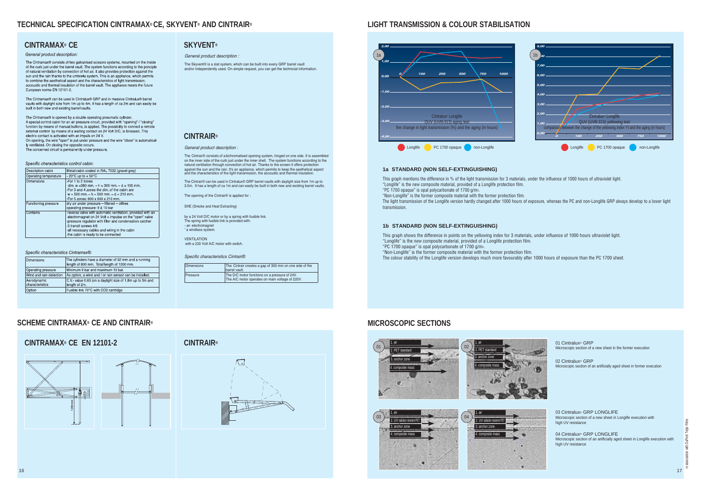## **TECHNICAL SPECIFICATION CINTRAMAX® CE, SKYVENT® AND CINTRAIR®**

The Cintrair® consists of a bichromatised opening system, hinged on one side. It is assembled on the inner side of the curb just under the inner shell. The system functions according to the natural ventilation through convection of hot air. Thanks to the screen it offers protection against the sun and the rain. It's an appliance, which permits to keep the aesthetical aspect and the characteristics of the light transmission, the accoustic and thermal insulation.





## **CINTRAMAX® CE**

#### General product description:

The Cintramax® consists of two galvanised scissors systems, mounted on the inside<br>of the curb just under the barrel vault. The system functions according to the principle of natural ventilation by convection of hot air. It also provides protection against the sun and the rain thanks to the umbrella system. This is an appliance, which permits to combine the aesthetical aspect and the characteristics of light transmission accoustic and thermal insulation of the barrel vault. The appliance meets the future European norms EN 12101-2.

The Cintramax® can be used in Cintralux® GRP and in massive Cintralux® barrel vaults with daylight size from 1m up to 4m. It has a length of ca 2m and can easily be built in both new and existing barrel vaults

The Cintramax® is opened by a double operating pneumatic cylinder. A special control cabin for an air pressure circuit, provided with "opening" / "closing" function by means of manual buttons, is applied. The possibility to connect a remote external control by means of a waiting contact on 24 Volt D/C, is foreseen. This electric contact is activated with an impuls on 24 V. On opening, the wire "open" is put under pressure and the wire "close" is automatically ventilated. On closing the opposite occurs. The concerned circuit is permanently under pressure

#### Specific characteristics control cabin:

| Description cabin     | Metal cabin coated in RAL 7032 (gravel grey)                                                                                                                                                                                                                                                       |  |  |
|-----------------------|----------------------------------------------------------------------------------------------------------------------------------------------------------------------------------------------------------------------------------------------------------------------------------------------------|--|--|
| Operating temperature | $-20^{\circ}$ C up to $+50^{\circ}$ C                                                                                                                                                                                                                                                              |  |  |
| <b>Dimensions</b>     | -For 1 to 2 zones<br>dim. $w = 380$ mm. $- h = 300$ mm. $- d = 155$ mm.<br>- For 3 and 4 zones the dim, of the cabin are<br>$w = 500$ mm $- h = 500$ mm $- d = 210$ mm.<br>For 5 zones: 600 x 600 x 210 mm.                                                                                        |  |  |
| Functioning pressure  | dry air under pressure - filtered - oilfree<br>operating pressure: 9 à 10 bar                                                                                                                                                                                                                      |  |  |
| Contains              | -reverse valve with automatic ventilation, provided with an<br>electromagnet on 24 Volt = impulse on the "open" valve<br>-pressure regulator with filter and condensation catcher<br>-3 transit screws 4/6<br>-all necessary cables and wiring in the cabin<br>-the cabin is ready to be connected |  |  |

#### Specific characteristics Cintramax®

| <b>Dimensions</b>              | The cylinders have a diameter of 32 mm and a running<br>length of 800 mm. Total length of 1200 mm. |  |  |
|--------------------------------|----------------------------------------------------------------------------------------------------|--|--|
| Operating pressure             | Minimum 9 bar and maximum 10 bar.                                                                  |  |  |
| Wind and rain detection        | As option, a wind and / or rain sensor can be installed.                                           |  |  |
| Aerodynamic<br>characteristics | C.V. value 0.63 (on a daylight size of 1.8m up to 3m and<br>length of 2m.                          |  |  |
| Option                         | Fusible link 70°C with CO2 cartridge                                                               |  |  |

## **CINTRAMAX® CE EN 12101-2 CINTRAIR®**

#### General product description :

The Cintrair® can be used in Cintralux® GRP barrel vaults with daylight size from 1m up to 3.5m. It has a length of ca 1m and can easily be built in both new and existing barrel vaults.

The opening of the Cintrair® is applied for

03 Cintralux® GRP LONGLIFE Microscopic section of a new sheet in Longlife execution with high UV resistance

01 Cintralux® GRP Microscopic section of a new sheet in the former execution

SHE (Smoke and Heat Extracting)

by a 24 Volt D/C motor or by a spring with fusible link. The spring with fusible link is provided with: - an electromagnet - a windlass system.

**VENTILATION** with a 220 Volt A/C motor with switch

#### Specific characteristics Cintrair®:

| <b>Dimensions</b> | The Cintrair creates a gap of 300 mm on one side of the<br>barrel vault.                         |  |
|-------------------|--------------------------------------------------------------------------------------------------|--|
| Pressure          | The D/C motor functions on a pressure of 24V.<br>The A/C motor operates on main voltage of 220V. |  |

## **SKYVENT®**

#### General product description :

The Skyvent® is a slat system, which can be built into every GRP barrel vault and/or independently used. On simple request, you can get the technicial information.

## **LIGHT TRANSMISSION & COLOUR STABILISATION**

## **SCHEME CINTRAMAX® CE AND CINTRAIR®**

04 Cintralux® GRP LONGLIFE Microscopic section of an artificially aged sheet in Longlife execution with high UV resistance

02 Cintralux® GRP Microscopic section of an artificially aged sheet in former execution



### **1a STANDARD (NON SELF-EXTINGUISHING)**

This graph mentions the difference in % of the light transmission for 3 materials, under the influence of 1000 hours of ultraviolet light. "Longlife" is the new composite material, provided of a Longlife protection film. "PC 1700 opaque" is opal polycarbonate of 1700 g/m2. "Non-Longlife" is the former composite material with the former protection film. The light transmission of the Longlife version hardly changed after 1000 hours of exposure, whereas the PC and non-Longlife GRP always develop to a lower light transmission.

## **1b STANDARD (NON SELF-EXTINGUISHING)**

This graph shows the difference in points on the yellowing index for 3 materials, under influence of 1000 hours ultraviolet light. "Longlife" is the new composite material, provided of a Longlife protection film. "PC 1700 opaque" is opal polycarbonate of 1700 g/m2.

"Non-Longlife" is the former composite material with the former protection film. The colour stability of the Longlife version develops much more favourably after 1000 hours of exposure than the PC 1700 sheet.













## **MICROSCOPIC SECTIONS**

## **CINTRAIR®**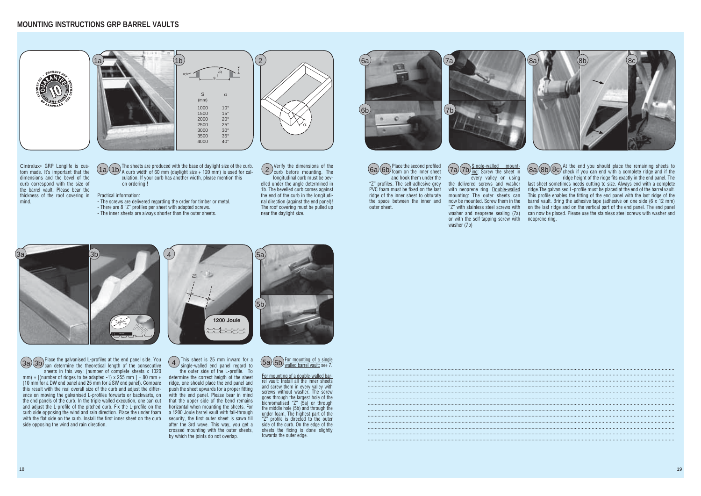The sheets are produced with the base of daylight size of the curb.  $\frac{1}{2}$  (1b) A curb width of 60 mm (daylight size + 120 mm) is used for calculation. If your curb has another width, please mention this on ordering !

Verify the dimensions of the curb before mounting. The longitudinal curb must be bevelled under the angle determined in 1b. The bevelled curb comes against the end of the curb in the longitudinal direction (against the end panel)! The roof covering must be pulled up

 $\alpha$ 

#### Practical information:

- The screws are delivered regarding the order for timber or metal.
- There are 8 "Z" profiles per sheet with adapted screws.
- The inner sheets are always shorter than the outer sheets.

near the daylight size.

Cintralux® GRP Longlife is custom made. It's important that the dimensions and the bevel of the curb correspond with the size of the barrel vault. Please bear the thickness of the roof covering in mind.





Single-walled mount- $\frac{6a}{6b}$  foam on the inner sheet  $\frac{1}{2a}$   $\frac{1}{2b}$   $\frac{3a}{10}$ . Screw the sheet in  $\frac{1}{2a}$  8a) 8b 8c every valley on using

Place the galvanised L-profiles at the end panel side. You  $\text{Ca}(3b)$  can determine the theoretical length of the consecutive  $\begin{pmatrix} 4 \end{pmatrix}$  single-walled end panel regard to  $\begin{pmatrix} 5a/5b \end{pmatrix}$ sheets in this way: (number of complete sheets x 1020 mm) +  $[$ (number of ridges to be adapted -1) x 255 mm  $] + 80$  mm  $+$ (10 mm for a DW end panel and 25 mm for a SW end panel). Compare this result with the real overall size of the curb and adjust the difference on moving the galvanised L-profiles forwarts or backwarts, on the end panels of the curb. In the triple walled execution, one can cut and adjust the L-profile of the pitched curb. Fix the L-profile on the curb side opposing the wind and rain direction. Place the under foam with the flat side on the curb. Install the first inner sheet on the curb side opposing the wind and rain direction.

Place the second profiled foam on the inner sheet and hook them under the "Z" profiles. The self-adhesive grey PVC foam must be fixed on the last ridge of the inner sheet to obturate the space between the inner and outer sheet.

the delivered screws and washer with neoprene ring. Double-walled mounting: The outer sheets can now be mounted. Screw them in the "Z" with stainless steel screws with washer and neoprene sealing (7a) or with the self-tapping screw with washer (7b)

At the end you should place the remaining sheets to check if you can end with a complete ridge and if the ridge height of the ridge fits exactly in the end panel. The last sheet sometimes needs cutting to size. Always end with a complete ridge.The galvanised L-profile must be placed at the end of the barrel vault. This profile enables the fitting of the end panel with the last ridge of the barrel vault. Bring the adhesive tape (adhesive on one side  $(6 \times 12 \text{ mm})$ ) on the last ridge and on the vertical part of the end panel. The end panel can now be placed. Please use the stainless steel screws with washer and neoprene ring.







For mounting of a double-walled barrel vault: Install all the inner sheets and screw them in every valley with screws without washer. The screw goes through the largest hole of the bichromatised "Z" (5a) or through the middle hole (5b) and through the under foam. The highest part of the "Z" profile is directed to the outer side of the curb. On the edge of the sheets the fixing is done slightly towards the outer edge.

This sheet is 25 mm inward for a single-walled end panel regard to

the outer side of the L-profile. To determine the correct heigth of the sheet ridge, one should place the end panel and push the sheet upwards for a proper fitting with the end panel. Please bear in mind that the upper side of the bend remains horizontal when mounting the sheets. For a 1200 Joule barrel vault with fall-through security, the first outer sheet is sawn till after the 3rd wave. This way, you get a crossed mounting with the outer sheets, by which the joints do not overlap.